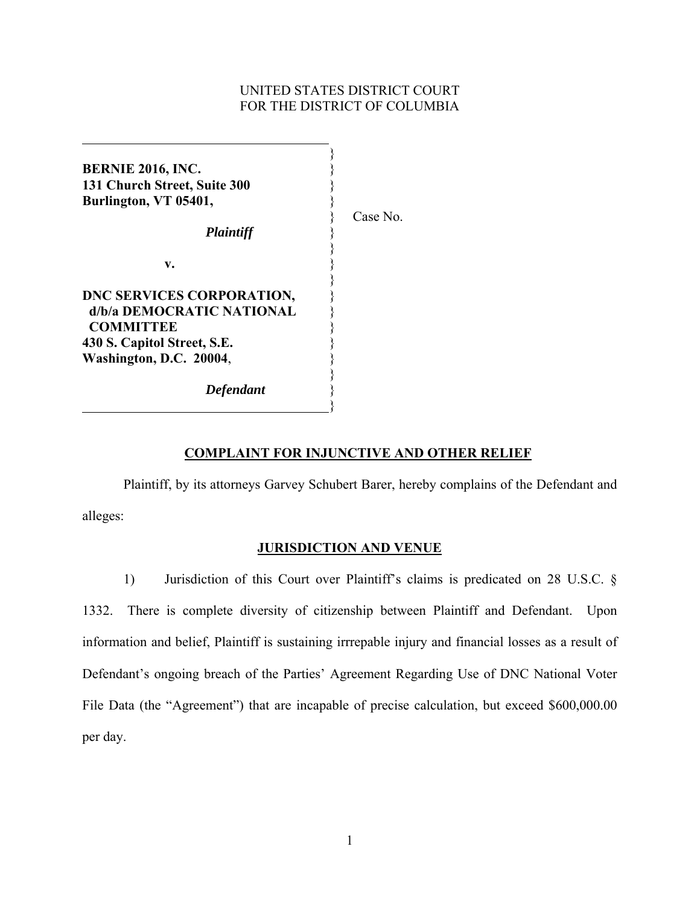# UNITED STATES DISTRICT COURT FOR THE DISTRICT OF COLUMBIA

**BERNIE 2016, INC.** } **131 Church Street, Suite 300** } **Burlington, VT 05401,** }

}

 } **v.** }

*Plaintiff* }

 $\overline{a}$ 

Case No.

 } **DNC SERVICES CORPORATION,** }  **d/b/a DEMOCRATIC NATIONAL** }  **COMMITTEE** } **430 S. Capitol Street, S.E.** } **Washington, D.C. 20004**, } }

*Defendant* }

}

# **COMPLAINT FOR INJUNCTIVE AND OTHER RELIEF**

 Plaintiff, by its attorneys Garvey Schubert Barer, hereby complains of the Defendant and alleges:

## **JURISDICTION AND VENUE**

1) Jurisdiction of this Court over Plaintiff's claims is predicated on 28 U.S.C. § 1332. There is complete diversity of citizenship between Plaintiff and Defendant. Upon information and belief, Plaintiff is sustaining irrrepable injury and financial losses as a result of Defendant's ongoing breach of the Parties' Agreement Regarding Use of DNC National Voter File Data (the "Agreement") that are incapable of precise calculation, but exceed \$600,000.00 per day.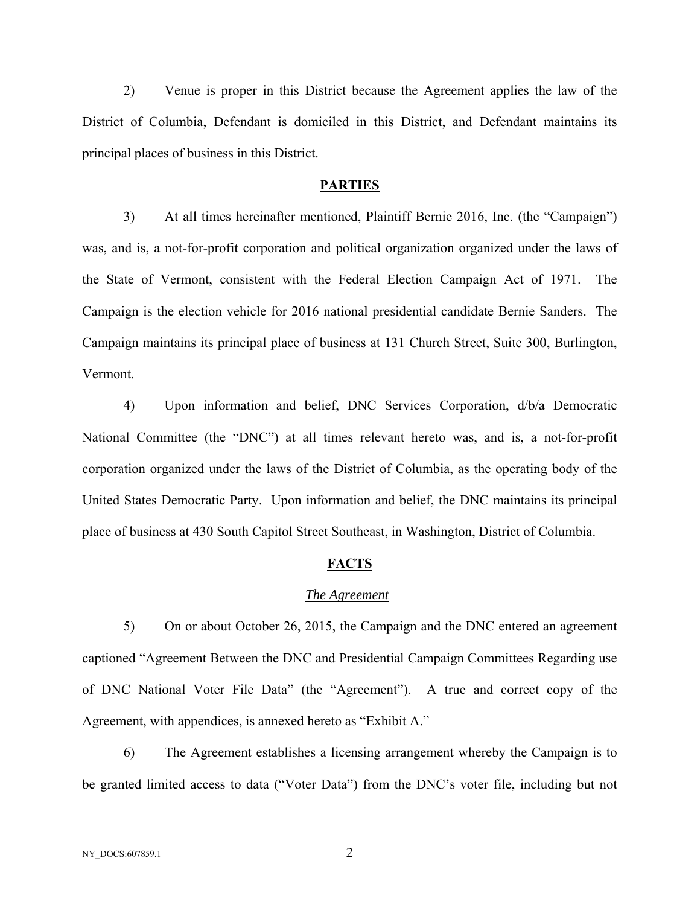2) Venue is proper in this District because the Agreement applies the law of the District of Columbia, Defendant is domiciled in this District, and Defendant maintains its principal places of business in this District.

### **PARTIES**

3) At all times hereinafter mentioned, Plaintiff Bernie 2016, Inc. (the "Campaign") was, and is, a not-for-profit corporation and political organization organized under the laws of the State of Vermont, consistent with the Federal Election Campaign Act of 1971. The Campaign is the election vehicle for 2016 national presidential candidate Bernie Sanders. The Campaign maintains its principal place of business at 131 Church Street, Suite 300, Burlington, Vermont.

4) Upon information and belief, DNC Services Corporation, d/b/a Democratic National Committee (the "DNC") at all times relevant hereto was, and is, a not-for-profit corporation organized under the laws of the District of Columbia, as the operating body of the United States Democratic Party. Upon information and belief, the DNC maintains its principal place of business at 430 South Capitol Street Southeast, in Washington, District of Columbia.

### **FACTS**

### *The Agreement*

5) On or about October 26, 2015, the Campaign and the DNC entered an agreement captioned "Agreement Between the DNC and Presidential Campaign Committees Regarding use of DNC National Voter File Data" (the "Agreement"). A true and correct copy of the Agreement, with appendices, is annexed hereto as "Exhibit A."

6) The Agreement establishes a licensing arrangement whereby the Campaign is to be granted limited access to data ("Voter Data") from the DNC's voter file, including but not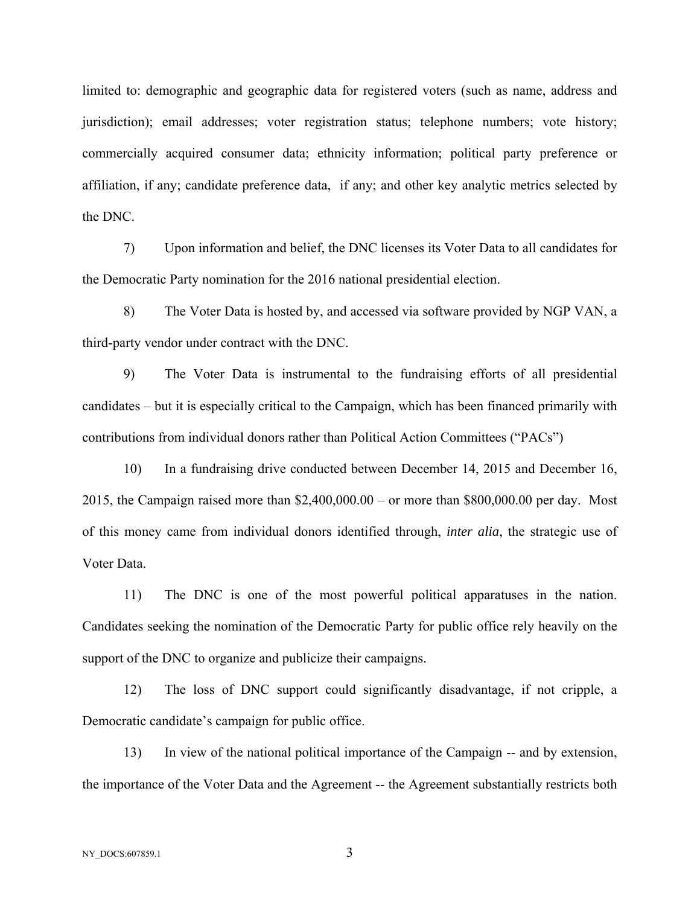limited to: demographic and geographic data for registered voters (such as name, address and jurisdiction); email addresses; voter registration status; telephone numbers; vote history; commercially acquired consumer data; ethnicity information; political party preference or affiliation, if any; candidate preference data, if any; and other key analytic metrics selected by the DNC.

7) Upon information and belief, the DNC licenses its Voter Data to all candidates for the Democratic Party nomination for the 2016 national presidential election.

8) The Voter Data is hosted by, and accessed via software provided by NGP VAN, a third-party vendor under contract with the DNC.

9) The Voter Data is instrumental to the fundraising efforts of all presidential candidates – but it is especially critical to the Campaign, which has been financed primarily with contributions from individual donors rather than Political Action Committees ("PACs")

10) In a fundraising drive conducted between December 14, 2015 and December 16, 2015, the Campaign raised more than \$2,400,000.00 – or more than \$800,000.00 per day. Most of this money came from individual donors identified through, *inter alia*, the strategic use of Voter Data.

11) The DNC is one of the most powerful political apparatuses in the nation. Candidates seeking the nomination of the Democratic Party for public office rely heavily on the support of the DNC to organize and publicize their campaigns.

12) The loss of DNC support could significantly disadvantage, if not cripple, a Democratic candidate's campaign for public office.

13) In view of the national political importance of the Campaign -- and by extension, the importance of the Voter Data and the Agreement -- the Agreement substantially restricts both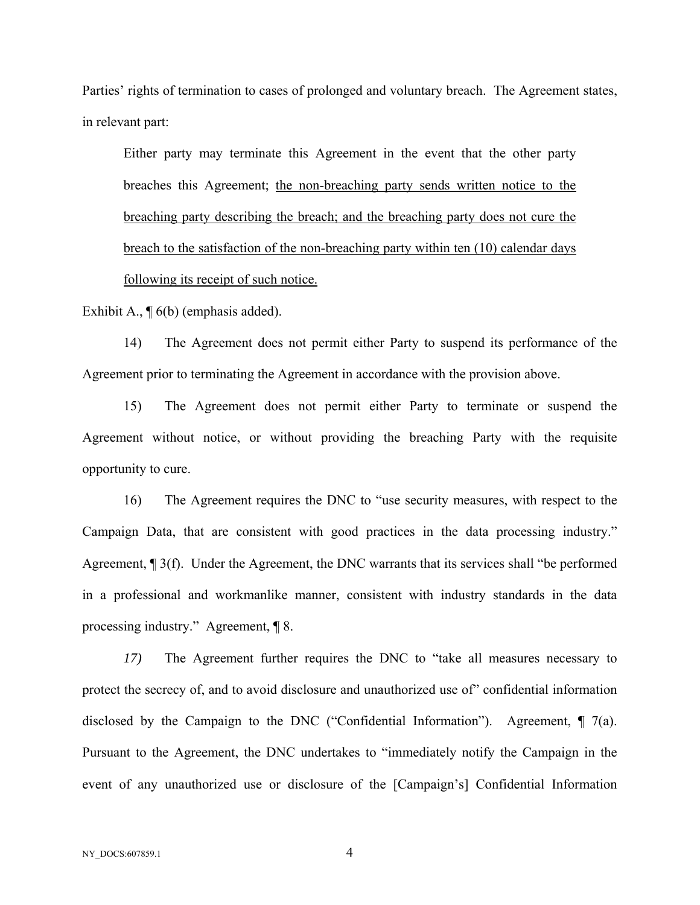Parties' rights of termination to cases of prolonged and voluntary breach. The Agreement states, in relevant part:

Either party may terminate this Agreement in the event that the other party breaches this Agreement; the non-breaching party sends written notice to the breaching party describing the breach; and the breaching party does not cure the breach to the satisfaction of the non-breaching party within ten (10) calendar days following its receipt of such notice.

Exhibit A., ¶ 6(b) (emphasis added).

14) The Agreement does not permit either Party to suspend its performance of the Agreement prior to terminating the Agreement in accordance with the provision above.

15) The Agreement does not permit either Party to terminate or suspend the Agreement without notice, or without providing the breaching Party with the requisite opportunity to cure.

16) The Agreement requires the DNC to "use security measures, with respect to the Campaign Data, that are consistent with good practices in the data processing industry." Agreement, ¶ 3(f). Under the Agreement, the DNC warrants that its services shall "be performed in a professional and workmanlike manner, consistent with industry standards in the data processing industry." Agreement, ¶ 8.

*17)* The Agreement further requires the DNC to "take all measures necessary to protect the secrecy of, and to avoid disclosure and unauthorized use of" confidential information disclosed by the Campaign to the DNC ("Confidential Information"). Agreement,  $\P$  7(a). Pursuant to the Agreement, the DNC undertakes to "immediately notify the Campaign in the event of any unauthorized use or disclosure of the [Campaign's] Confidential Information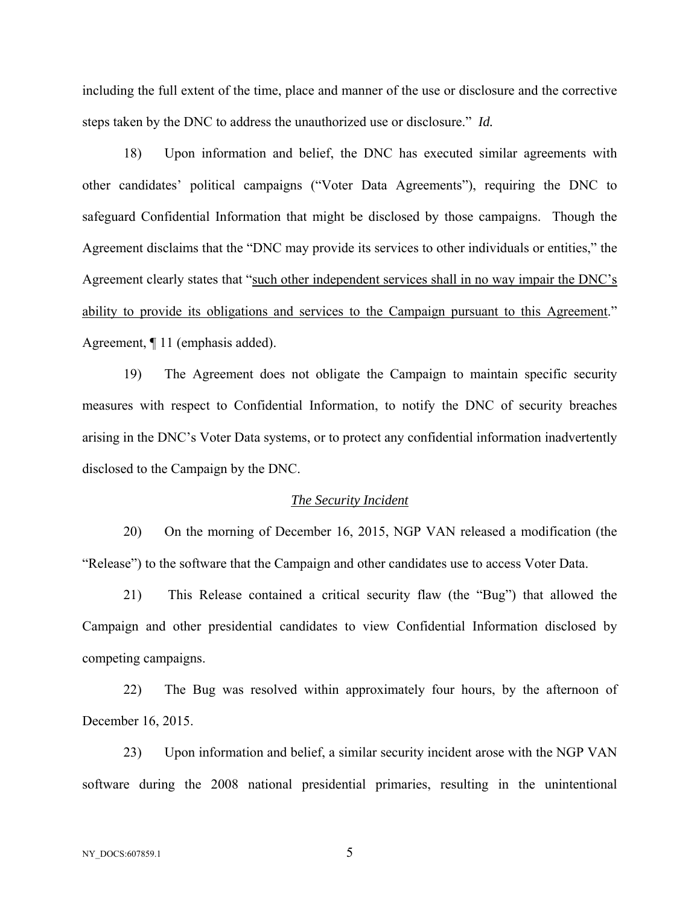including the full extent of the time, place and manner of the use or disclosure and the corrective steps taken by the DNC to address the unauthorized use or disclosure." *Id.* 

18) Upon information and belief, the DNC has executed similar agreements with other candidates' political campaigns ("Voter Data Agreements"), requiring the DNC to safeguard Confidential Information that might be disclosed by those campaigns. Though the Agreement disclaims that the "DNC may provide its services to other individuals or entities," the Agreement clearly states that "such other independent services shall in no way impair the DNC's ability to provide its obligations and services to the Campaign pursuant to this Agreement." Agreement, ¶ 11 (emphasis added).

19) The Agreement does not obligate the Campaign to maintain specific security measures with respect to Confidential Information, to notify the DNC of security breaches arising in the DNC's Voter Data systems, or to protect any confidential information inadvertently disclosed to the Campaign by the DNC.

#### *The Security Incident*

20) On the morning of December 16, 2015, NGP VAN released a modification (the "Release") to the software that the Campaign and other candidates use to access Voter Data.

21) This Release contained a critical security flaw (the "Bug") that allowed the Campaign and other presidential candidates to view Confidential Information disclosed by competing campaigns.

22) The Bug was resolved within approximately four hours, by the afternoon of December 16, 2015.

23) Upon information and belief, a similar security incident arose with the NGP VAN software during the 2008 national presidential primaries, resulting in the unintentional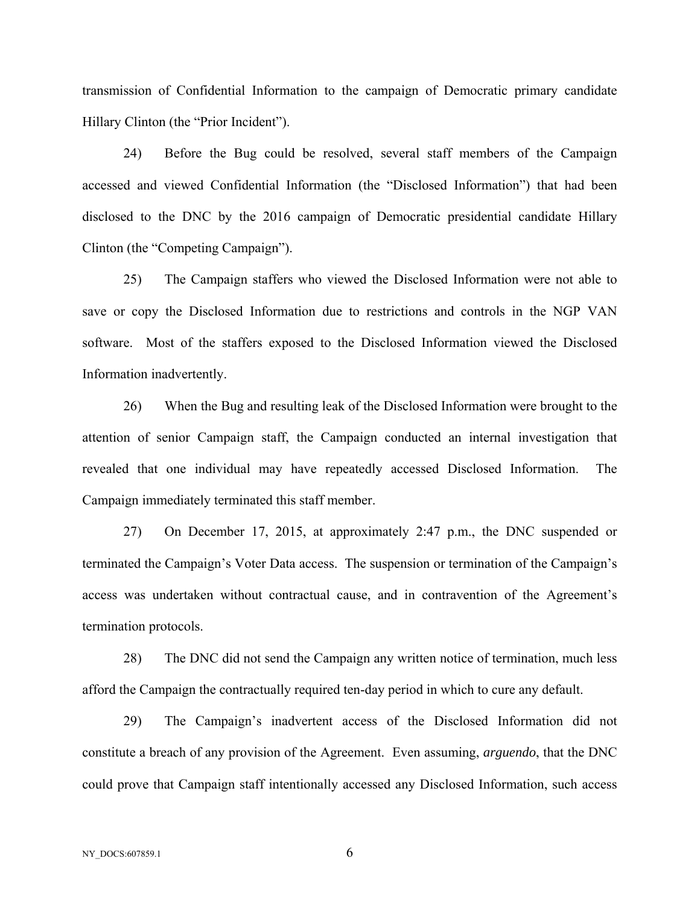transmission of Confidential Information to the campaign of Democratic primary candidate Hillary Clinton (the "Prior Incident").

24) Before the Bug could be resolved, several staff members of the Campaign accessed and viewed Confidential Information (the "Disclosed Information") that had been disclosed to the DNC by the 2016 campaign of Democratic presidential candidate Hillary Clinton (the "Competing Campaign").

25) The Campaign staffers who viewed the Disclosed Information were not able to save or copy the Disclosed Information due to restrictions and controls in the NGP VAN software. Most of the staffers exposed to the Disclosed Information viewed the Disclosed Information inadvertently.

26) When the Bug and resulting leak of the Disclosed Information were brought to the attention of senior Campaign staff, the Campaign conducted an internal investigation that revealed that one individual may have repeatedly accessed Disclosed Information. The Campaign immediately terminated this staff member.

27) On December 17, 2015, at approximately 2:47 p.m., the DNC suspended or terminated the Campaign's Voter Data access. The suspension or termination of the Campaign's access was undertaken without contractual cause, and in contravention of the Agreement's termination protocols.

28) The DNC did not send the Campaign any written notice of termination, much less afford the Campaign the contractually required ten-day period in which to cure any default.

29) The Campaign's inadvertent access of the Disclosed Information did not constitute a breach of any provision of the Agreement. Even assuming, *arguendo*, that the DNC could prove that Campaign staff intentionally accessed any Disclosed Information, such access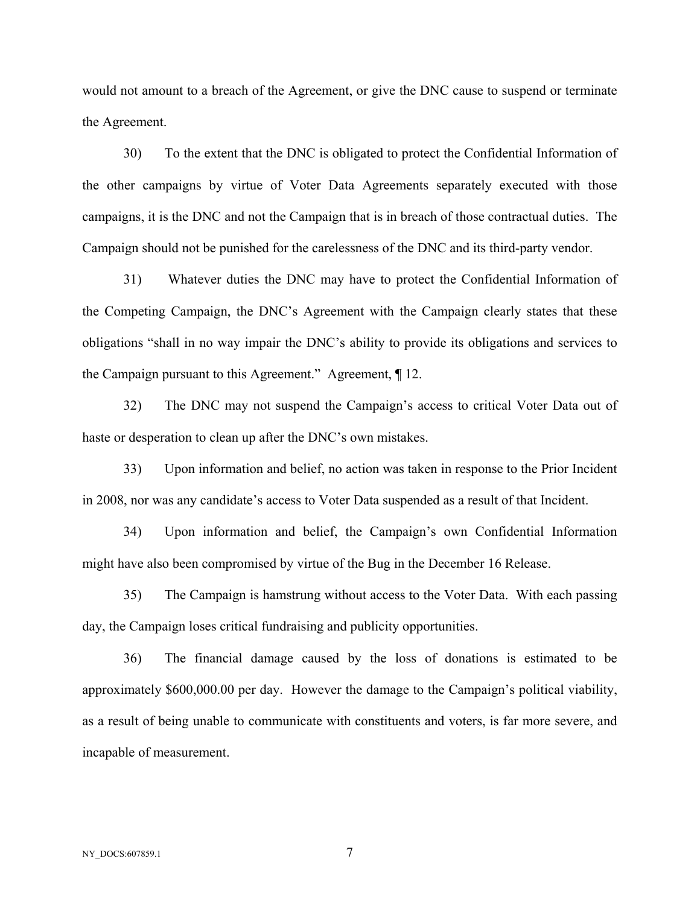would not amount to a breach of the Agreement, or give the DNC cause to suspend or terminate the Agreement.

30) To the extent that the DNC is obligated to protect the Confidential Information of the other campaigns by virtue of Voter Data Agreements separately executed with those campaigns, it is the DNC and not the Campaign that is in breach of those contractual duties. The Campaign should not be punished for the carelessness of the DNC and its third-party vendor.

31) Whatever duties the DNC may have to protect the Confidential Information of the Competing Campaign, the DNC's Agreement with the Campaign clearly states that these obligations "shall in no way impair the DNC's ability to provide its obligations and services to the Campaign pursuant to this Agreement." Agreement, ¶ 12.

32) The DNC may not suspend the Campaign's access to critical Voter Data out of haste or desperation to clean up after the DNC's own mistakes.

33) Upon information and belief, no action was taken in response to the Prior Incident in 2008, nor was any candidate's access to Voter Data suspended as a result of that Incident.

34) Upon information and belief, the Campaign's own Confidential Information might have also been compromised by virtue of the Bug in the December 16 Release.

35) The Campaign is hamstrung without access to the Voter Data. With each passing day, the Campaign loses critical fundraising and publicity opportunities.

36) The financial damage caused by the loss of donations is estimated to be approximately \$600,000.00 per day. However the damage to the Campaign's political viability, as a result of being unable to communicate with constituents and voters, is far more severe, and incapable of measurement.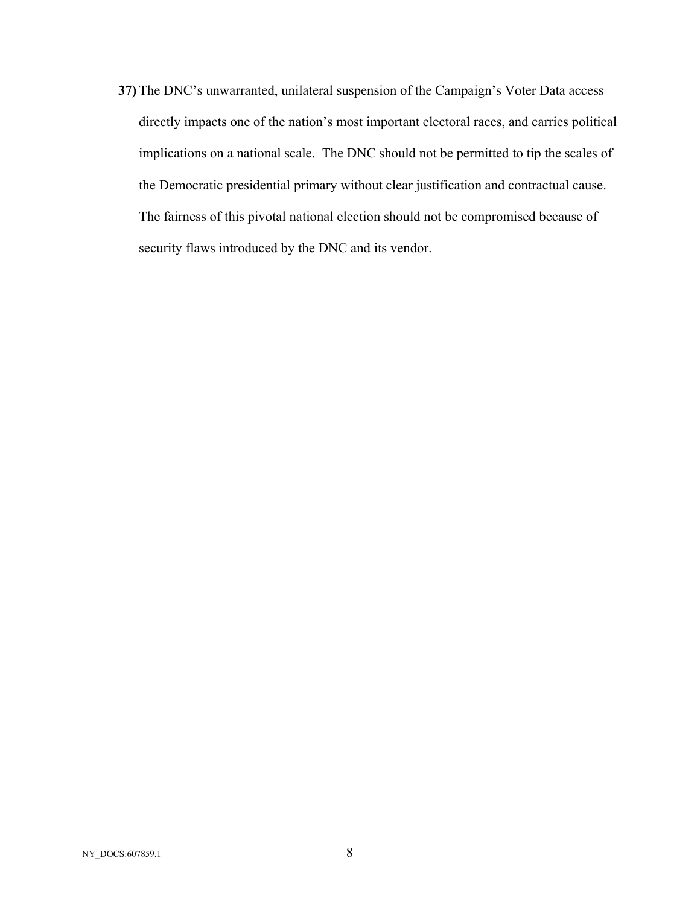**37)** The DNC's unwarranted, unilateral suspension of the Campaign's Voter Data access directly impacts one of the nation's most important electoral races, and carries political implications on a national scale. The DNC should not be permitted to tip the scales of the Democratic presidential primary without clear justification and contractual cause. The fairness of this pivotal national election should not be compromised because of security flaws introduced by the DNC and its vendor.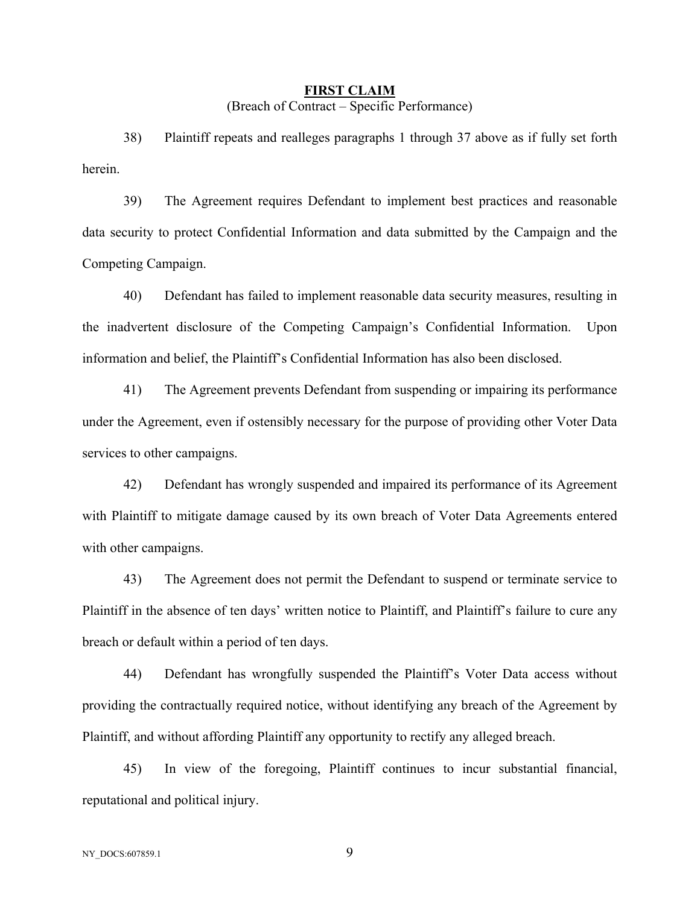# **FIRST CLAIM**  (Breach of Contract – Specific Performance)

38) Plaintiff repeats and realleges paragraphs 1 through 37 above as if fully set forth herein.

39) The Agreement requires Defendant to implement best practices and reasonable data security to protect Confidential Information and data submitted by the Campaign and the Competing Campaign.

40) Defendant has failed to implement reasonable data security measures, resulting in the inadvertent disclosure of the Competing Campaign's Confidential Information. Upon information and belief, the Plaintiff's Confidential Information has also been disclosed.

41) The Agreement prevents Defendant from suspending or impairing its performance under the Agreement, even if ostensibly necessary for the purpose of providing other Voter Data services to other campaigns.

42) Defendant has wrongly suspended and impaired its performance of its Agreement with Plaintiff to mitigate damage caused by its own breach of Voter Data Agreements entered with other campaigns.

43) The Agreement does not permit the Defendant to suspend or terminate service to Plaintiff in the absence of ten days' written notice to Plaintiff, and Plaintiff's failure to cure any breach or default within a period of ten days.

44) Defendant has wrongfully suspended the Plaintiff's Voter Data access without providing the contractually required notice, without identifying any breach of the Agreement by Plaintiff, and without affording Plaintiff any opportunity to rectify any alleged breach.

45) In view of the foregoing, Plaintiff continues to incur substantial financial, reputational and political injury.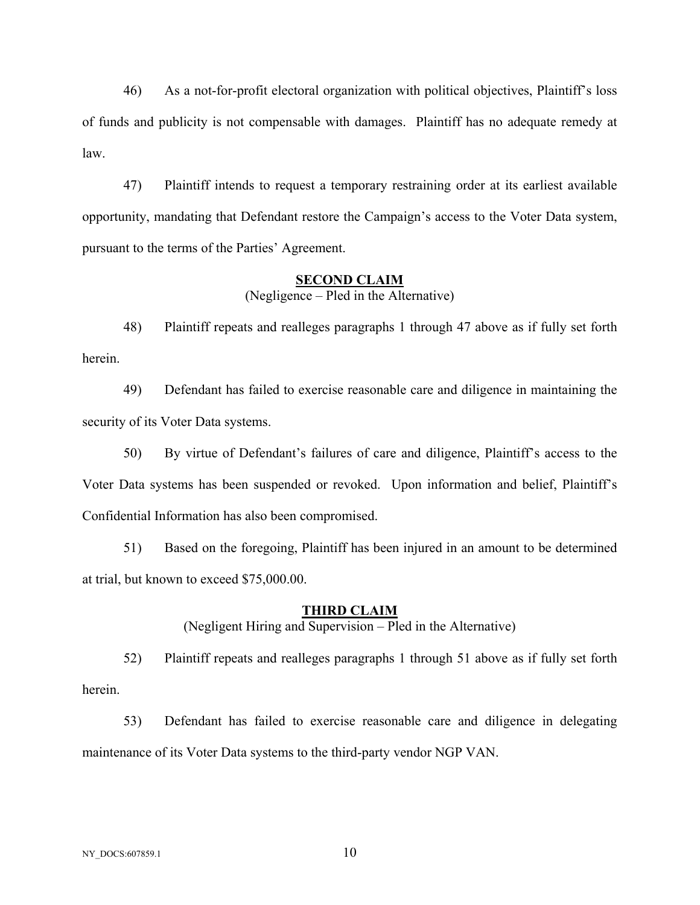46) As a not-for-profit electoral organization with political objectives, Plaintiff's loss of funds and publicity is not compensable with damages. Plaintiff has no adequate remedy at law.

47) Plaintiff intends to request a temporary restraining order at its earliest available opportunity, mandating that Defendant restore the Campaign's access to the Voter Data system, pursuant to the terms of the Parties' Agreement.

#### **SECOND CLAIM**

(Negligence – Pled in the Alternative)

48) Plaintiff repeats and realleges paragraphs 1 through 47 above as if fully set forth herein.

49) Defendant has failed to exercise reasonable care and diligence in maintaining the security of its Voter Data systems.

50) By virtue of Defendant's failures of care and diligence, Plaintiff's access to the Voter Data systems has been suspended or revoked. Upon information and belief, Plaintiff's Confidential Information has also been compromised.

51) Based on the foregoing, Plaintiff has been injured in an amount to be determined at trial, but known to exceed \$75,000.00.

### **THIRD CLAIM**

(Negligent Hiring and Supervision – Pled in the Alternative)

52) Plaintiff repeats and realleges paragraphs 1 through 51 above as if fully set forth herein.

53) Defendant has failed to exercise reasonable care and diligence in delegating maintenance of its Voter Data systems to the third-party vendor NGP VAN.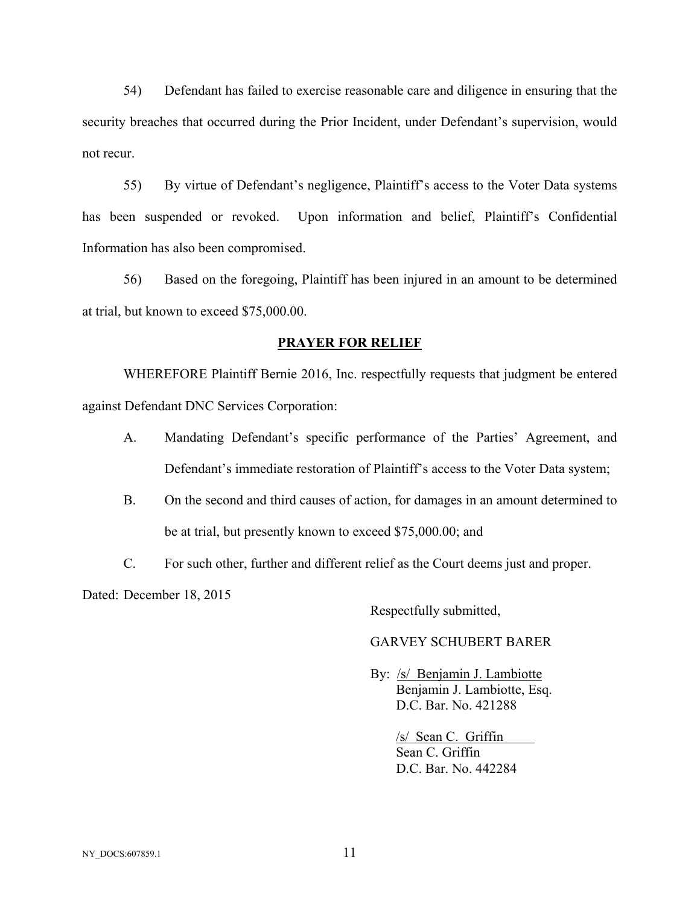54) Defendant has failed to exercise reasonable care and diligence in ensuring that the security breaches that occurred during the Prior Incident, under Defendant's supervision, would not recur.

55) By virtue of Defendant's negligence, Plaintiff's access to the Voter Data systems has been suspended or revoked. Upon information and belief, Plaintiff's Confidential Information has also been compromised.

56) Based on the foregoing, Plaintiff has been injured in an amount to be determined at trial, but known to exceed \$75,000.00.

## **PRAYER FOR RELIEF**

 WHEREFORE Plaintiff Bernie 2016, Inc. respectfully requests that judgment be entered against Defendant DNC Services Corporation:

- A. Mandating Defendant's specific performance of the Parties' Agreement, and Defendant's immediate restoration of Plaintiff's access to the Voter Data system;
- B. On the second and third causes of action, for damages in an amount determined to be at trial, but presently known to exceed \$75,000.00; and
- C. For such other, further and different relief as the Court deems just and proper.

Dated: December 18, 2015

Respectfully submitted,

## GARVEY SCHUBERT BARER

 By: /s/ Benjamin J. Lambiotte Benjamin J. Lambiotte, Esq. D.C. Bar. No. 421288

> /s/ Sean C. Griffin Sean C. Griffin D.C. Bar. No. 442284